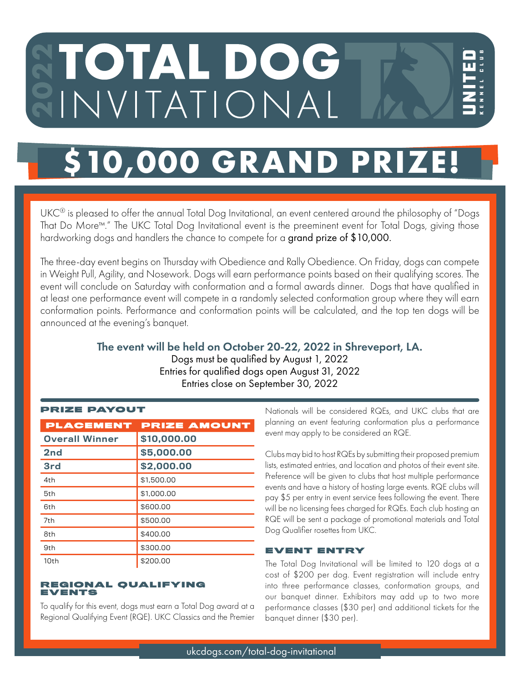# TOTAL DOG INVITATIONAL

## **\$10,000 GRAND PR**

UKC® is pleased to offer the annual Total Dog Invitational, an event centered around the philosophy of "Dogs That Do More™." The UKC Total Dog Invitational event is the preeminent event for Total Dogs, giving those hardworking dogs and handlers the chance to compete for a grand prize of \$10,000.

The three-day event begins on Thursday with Obedience and Rally Obedience. On Friday, dogs can compete in Weight Pull, Agility, and Nosework. Dogs will earn performance points based on their qualifying scores. The event will conclude on Saturday with conformation and a formal awards dinner. Dogs that have qualified in at least one performance event will compete in a randomly selected conformation group where they will earn conformation points. Performance and conformation points will be calculated, and the top ten dogs will be announced at the evening's banquet.

### The event will be held on October 20-22, 2022 in Shreveport, LA.

Dogs must be qualified by August 1, 2022 Entries for qualified dogs open August 31, 2022 Entries close on September 30, 2022

| PRIZE PAYOUT          |  |
|-----------------------|--|
| <b>PLACEMENT PRIZ</b> |  |
| $0.00011111$ 0.40.00  |  |

| PLACEMENT             | <b>PRIZE AMOUNT</b> |
|-----------------------|---------------------|
| <b>Overall Winner</b> | \$10,000.00         |
| 2nd                   | \$5,000.00          |
| 3rd                   | \$2,000.00          |
| 4th                   | \$1,500,00          |
| 5th                   | \$1,000,00          |
| 6th                   | \$600.00            |
| 7th                   | \$500.00            |
| 8th                   | \$400.00            |
| 9th                   | \$300.00            |
| 10th                  | \$200.00            |

#### REGIONAL QUALIFYING EVENTS

To qualify for this event, dogs must earn a Total Dog award at a Regional Qualifying Event (RQE). UKC Classics and the Premier

Nationals will be considered RQEs, and UKC clubs that are planning an event featuring conformation plus a performance event may apply to be considered an RQE.

Clubs may bid to host RQEs by submitting their proposed premium lists, estimated entries, and location and photos of their event site. Preference will be given to clubs that host multiple performance events and have a history of hosting large events. RQE clubs will pay \$5 per entry in event service fees following the event. There will be no licensing fees charged for RQEs. Each club hosting an RQE will be sent a package of promotional materials and Total Dog Qualifier rosettes from UKC.

#### EVENT ENTRY

The Total Dog Invitational will be limited to 120 dogs at a cost of \$200 per dog. Event registration will include entry into three performance classes, conformation groups, and our banquet dinner. Exhibitors may add up to two more performance classes (\$30 per) and additional tickets for the banquet dinner (\$30 per).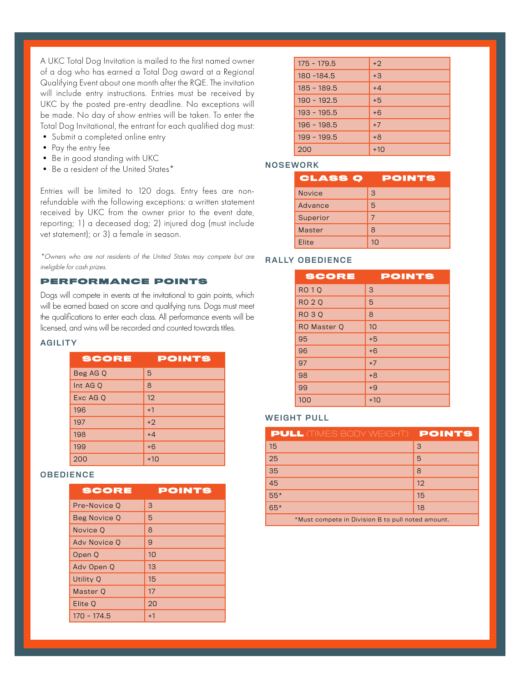A UKC Total Dog Invitation is mailed to the first named owner of a dog who has earned a Total Dog award at a Regional Qualifying Event about one month after the RQE. The invitation will include entry instructions. Entries must be received by UKC by the posted pre-entry deadline. No exceptions will be made. No day of show entries will be taken. To enter the Total Dog Invitational, the entrant for each qualified dog must:

- Submit a completed online entry
- Pay the entry fee
- Be in good standing with UKC
- Be a resident of the United States\*

Entries will be limited to 120 dogs. Entry fees are nonrefundable with the following exceptions: a written statement received by UKC from the owner prior to the event date, reporting; 1) a deceased dog; 2) injured dog (must include vet statement); or 3) a female in season.

\*Owners who are not residents of the United States may compete but are ineligible for cash prizes.

#### PERFORMANCE POINTS

Dogs will compete in events at the invitational to gain points, which will be earned based on score and qualifying runs. Dogs must meet the qualifications to enter each class. All performance events will be licensed, and wins will be recorded and counted towards titles.

#### AGILITY

| <b>SCORE</b> | <b>POINTS</b> |
|--------------|---------------|
| Beg AG Q     | 5             |
| Int AG Q     | 8             |
| Exc AG Q     | 12            |
| 196          | $+1$          |
| 197          | $+2$          |
| 198          | $+4$          |
| 199          | $+6$          |
| 200          | $+10$         |

#### **OBEDIENCE**

| SCORE         | POINTS |
|---------------|--------|
| Pre-Novice 0  | 3      |
| Beg Novice Q  | 5      |
| Novice Q      | 8      |
| Ady Novice O  | 9      |
| Open Q        | 10     |
| Adv Open Q    | 13     |
| Utility Q     | 15     |
| Master O      | 17     |
| Elite O       | 20     |
| $170 - 174.5$ | $+1$   |

| $175 - 179.5$ | $+2$  |
|---------------|-------|
| 180 - 184.5   | $+3$  |
| $185 - 189.5$ | $+4$  |
| $190 - 192.5$ | $+5$  |
| $193 - 195.5$ | $+6$  |
| $196 - 198.5$ | $+7$  |
| 199 - 199.5   | $+8$  |
| 200           | $+10$ |

#### **NOSEWORK**

| <b>CLASS Q</b> | POINTS         |
|----------------|----------------|
| <b>Novice</b>  | 3              |
| Advance        | 5              |
| Superior       |                |
| Master         | 8              |
| <b>Flite</b>   | 1 <sub>0</sub> |

#### RALLY OBEDIENCE

| SCORE         | <b>POINTS</b> |
|---------------|---------------|
| <b>RO1Q</b>   | 3             |
| <b>RO 2 Q</b> | 5             |
| <b>RO30</b>   | 8             |
| RO Master Q   | 10            |
| 95            | $+5$          |
| 96            | $+6$          |
| 97            | $+7$          |
| 98            | $+8$          |
| 99            | $+9$          |
| 100           | $+10$         |

#### WEIGHT PULL

| <b>PULL (TIMES BODY WEIGHT) POINTS</b>            |    |
|---------------------------------------------------|----|
| 15                                                | 3  |
| 25                                                | 5  |
| 35                                                | 8  |
| 45                                                | 12 |
| $55*$                                             | 15 |
| $65*$                                             | 18 |
| *Must compete in Division B to pull noted amount. |    |